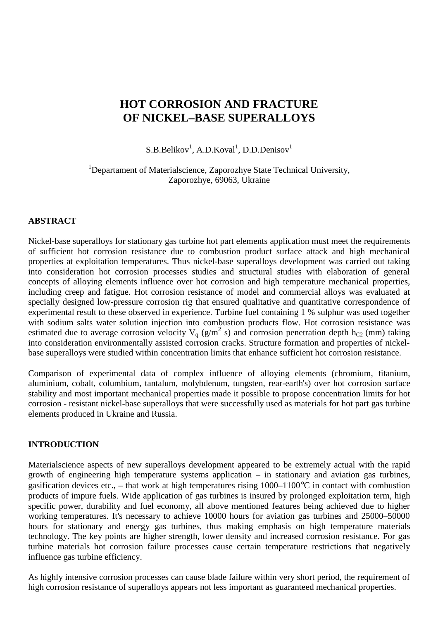# **HOT CORROSION AND FRACTURE OF NICKEL–BASE SUPERALLOYS**

 $S.B.Belikov<sup>1</sup>, A.D.Koval<sup>1</sup>, D.D.Denisov<sup>1</sup>$ 

<sup>1</sup>Departament of Materialscience, Zaporozhye State Technical University, Zaporozhye, 69063, Ukraine

### **ABSTRACT**

Nickel-base superalloys for stationary gas turbine hot part elements application must meet the requirements of sufficient hot corrosion resistance due to combustion product surface attack and high mechanical properties at exploitation temperatures. Thus nickel-base superalloys development was carried out taking into consideration hot corrosion processes studies and structural studies with elaboration of general concepts of alloying elements influence over hot corrosion and high temperature mechanical properties, including creep and fatigue. Hot corrosion resistance of model and commercial alloys was evaluated at specially designed low-pressure corrosion rig that ensured qualitative and quantitative correspondence of experimental result to these observed in experience. Turbine fuel containing 1 % sulphur was used together with sodium salts water solution injection into combustion products flow. Hot corrosion resistance was estimated due to average corrosion velocity  $V_q$  (g/m<sup>2</sup> s) and corrosion penetration depth h<sub>C2</sub> (mm) taking into consideration environmentally assisted corrosion cracks. Structure formation and properties of nickelbase superalloys were studied within concentration limits that enhance sufficient hot corrosion resistance.

Comparison of experimental data of complex influence of alloying elements (chromium, titanium, aluminium, cobalt, columbium, tantalum, molybdenum, tungsten, rear-earth's) over hot corrosion surface stability and most important mechanical properties made it possible to propose concentration limits for hot corrosion - resistant nickel-base superalloys that were successfully used as materials for hot part gas turbine elements produced in Ukraine and Russia.

#### **INTRODUCTION**

Materialscience aspects of new superalloys development appeared to be extremely actual with the rapid growth of engineering high temperature systems application – in stationary and aviation gas turbines, gasification devices etc., – that work at high temperatures rising  $1000-1100\degree C$  in contact with combustion products of impure fuels. Wide application of gas turbines is insured by prolonged exploitation term, high specific power, durability and fuel economy, all above mentioned features being achieved due to higher working temperatures. It's necessary to achieve 10000 hours for aviation gas turbines and 25000–50000 hours for stationary and energy gas turbines, thus making emphasis on high temperature materials technology. The key points are higher strength, lower density and increased corrosion resistance. For gas turbine materials hot corrosion failure processes cause certain temperature restrictions that negatively influence gas turbine efficiency.

As highly intensive corrosion processes can cause blade failure within very short period, the requirement of high corrosion resistance of superalloys appears not less important as guaranteed mechanical properties.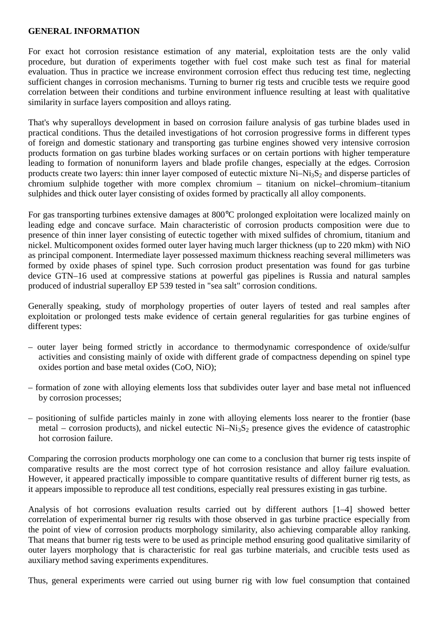## **GENERAL INFORMATION**

For exact hot corrosion resistance estimation of any material, exploitation tests are the only valid procedure, but duration of experiments together with fuel cost make such test as final for material evaluation. Thus in practice we increase environment corrosion effect thus reducing test time, neglecting sufficient changes in corrosion mechanisms. Turning to burner rig tests and crucible tests we require good correlation between their conditions and turbine environment influence resulting at least with qualitative similarity in surface layers composition and alloys rating.

That's why superalloys development in based on corrosion failure analysis of gas turbine blades used in practical conditions. Thus the detailed investigations of hot corrosion progressive forms in different types of foreign and domestic stationary and transporting gas turbine engines showed very intensive corrosion products formation on gas turbine blades working surfaces or on certain portions with higher temperature leading to formation of nonuniform layers and blade profile changes, especially at the edges. Corrosion products create two layers: thin inner layer composed of eutectic mixture  $Ni-Ni<sub>3</sub>S<sub>2</sub>$  and disperse particles of chromium sulphide together with more complex chromium – titanium on nickel–chromium–titanium sulphides and thick outer layer consisting of oxides formed by practically all alloy components.

For gas transporting turbines extensive damages at 800°C prolonged exploitation were localized mainly on leading edge and concave surface. Main characteristic of corrosion products composition were due to presence of thin inner layer consisting of eutectic together with mixed sulfides of chromium, titanium and nickel. Multicomponent oxides formed outer layer having much larger thickness (up to 220 mkm) with NiO as principal component. Intermediate layer possessed maximum thickness reaching several millimeters was formed by oxide phases of spinel type. Such corrosion product presentation was found for gas turbine device GTN–16 used at compressive stations at powerful gas pipelines is Russia and natural samples produced of industrial superalloy EP 539 tested in "sea salt" corrosion conditions.

Generally speaking, study of morphology properties of outer layers of tested and real samples after exploitation or prolonged tests make evidence of certain general regularities for gas turbine engines of different types:

- outer layer being formed strictly in accordance to thermodynamic correspondence of oxide/sulfur activities and consisting mainly of oxide with different grade of compactness depending on spinel type oxides portion and base metal oxides (CoO, NiO);
- formation of zone with alloying elements loss that subdivides outer layer and base metal not influenced by corrosion processes;
- positioning of sulfide particles mainly in zone with alloying elements loss nearer to the frontier (base metal – corrosion products), and nickel eutectic  $Ni-Ni<sub>3</sub>S<sub>2</sub>$  presence gives the evidence of catastrophic hot corrosion failure.

Comparing the corrosion products morphology one can come to a conclusion that burner rig tests inspite of comparative results are the most correct type of hot corrosion resistance and alloy failure evaluation. However, it appeared practically impossible to compare quantitative results of different burner rig tests, as it appears impossible to reproduce all test conditions, especially real pressures existing in gas turbine.

Analysis of hot corrosions evaluation results carried out by different authors [1–4] showed better correlation of experimental burner rig results with those observed in gas turbine practice especially from the point of view of corrosion products morphology similarity, also achieving comparable alloy ranking. That means that burner rig tests were to be used as principle method ensuring good qualitative similarity of outer layers morphology that is characteristic for real gas turbine materials, and crucible tests used as auxiliary method saving experiments expenditures.

Thus, general experiments were carried out using burner rig with low fuel consumption that contained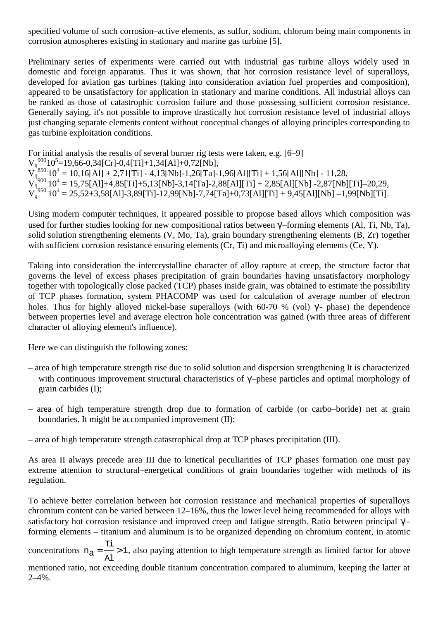specified volume of such corrosion–active elements, as sulfur, sodium, chlorum being main components in corrosion atmospheres existing in stationary and marine gas turbine [5].

Preliminary series of experiments were carried out with industrial gas turbine alloys widely used in domestic and foreign apparatus. Thus it was shown, that hot corrosion resistance level of superalloys, developed for aviation gas turbines (taking into consideration aviation fuel properties and composition), appeared to be unsatisfactory for application in stationary and marine conditions. All industrial alloys can be ranked as those of catastrophic corrosion failure and those possessing sufficient corrosion resistance. Generally saying, it's not possible to improve drastically hot corrosion resistance level of industrial alloys just changing separate elements content without conceptual changes of alloying principles corresponding to gas turbine exploitation conditions.

For initial analysis the results of several burner rig tests were taken, e.g. [6–9]  $V_q^{900}10^5$  = 19,66-0,34[Cr]-0,4[Ti]+1,34[Al]+0,72[Nb],  $V_{q}^{350.}10^4 = 10,16[Al] + 2,71[Ti] - 4,13[Nb] - 1,26[Ta] - 1,96[A1][Ti] + 1,56[A1][Nb] - 11,28,$  $V_q^{3900}$ .10<sup>4</sup> = 15,75[Al]+4,85[Ti]+5,13[Nb]-3,14[Ta]-2,88[Al][Ti] + 2,85[Al][Nb] -2,87[Nb][Ti]-20,29,  $V_q^{^1950.}10^4 = 25,52+3,58$ [Al]-3,89[Ti]-12,99[Nb]-7,74[Ta]+0,73[Al][Ti] + 9,45[Al][Nb] -1,99[Nb][Ti].

Using modern computer techniques, it appeared possible to propose based alloys which composition was used for further studies looking for new compositional ratios between γ'–forming elements (Al, Ti, Nb, Ta), solid solution strengthening elements (V, Mo, Ta), grain boundary strengthening elements (B, Zr) together with sufficient corrosion resistance ensuring elements (Cr, Ti) and microalloying elements (Ce, Y).

Taking into consideration the intercrystalline character of alloy rapture at creep, the structure factor that governs the level of excess phases precipitation of grain boundaries having unsatisfactory morphology together with topologically close packed (TCP) phases inside grain, was obtained to estimate the possibility of TCP phases formation, system PHACOMP was used for calculation of average number of electron holes. Thus for highly alloyed nickel-base superalloys (with 60-70 % (vol)  $\gamma$ - phase) the dependence between properties level and average electron hole concentration was gained (with three areas of different character of alloying element's influence).

Here we can distinguish the following zones:

- area of high temperature strength rise due to solid solution and dispersion strengthening It is characterized with continuous improvement structural characteristics of γ'–phese particles and optimal morphology of grain carbides (I);
- area of high temperature strength drop due to formation of carbide (or carbo–boride) net at grain boundaries. It might be accompanied improvement (II);
- area of high temperature strength catastrophical drop at TCP phases precipitation (III).

As area II always precede area III due to kinetical peculiarities of TCP phases formation one must pay extreme attention to structural–energetical conditions of grain boundaries together with methods of its regulation.

To achieve better correlation between hot corrosion resistance and mechanical properties of superalloys chromium content can be varied between 12–16%, thus the lower level being recommended for alloys with satisfactory hot corrosion resistance and improved creep and fatigue strength. Ratio between principal  $\gamma$ – forming elements – titanium and aluminum is to be organized depending on chromium content, in atomic

concentrations  $n_a = -1$ Al Ti  $n_a = \frac{1}{n_a} > 1$ , also paying attention to high temperature strength as limited factor for above

mentioned ratio, not exceeding double titanium concentration compared to aluminum, keeping the latter at 2–4%.